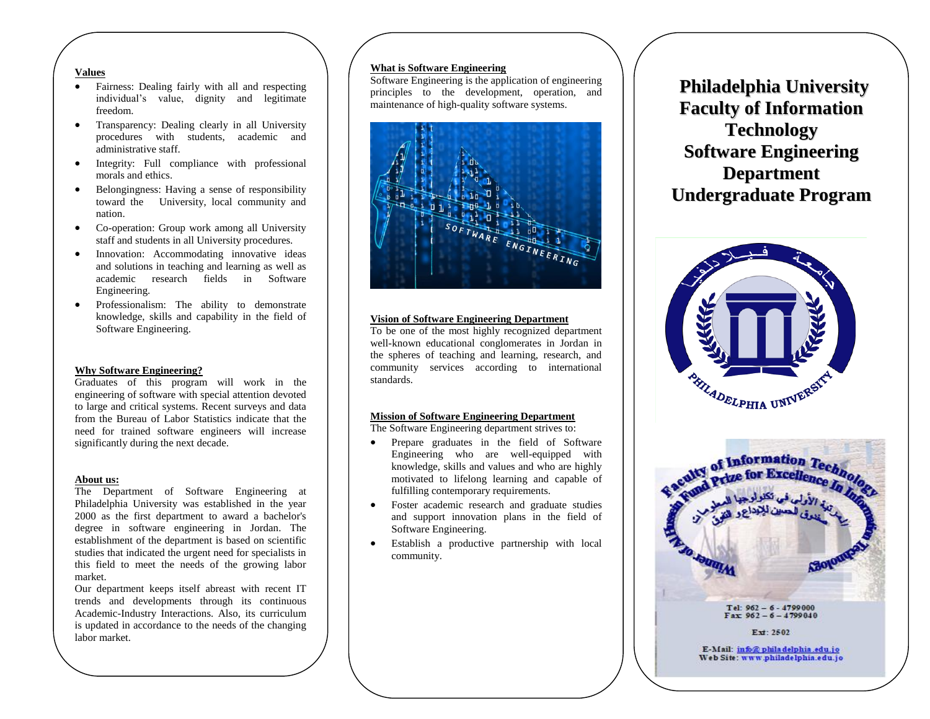## **Values**

- Fairness: Dealing fairly with all and respecting individual's value, dignity and legitimate freedom.
- Transparency: Dealing clearly in all University procedures with students, academic and administrative staff.
- Integrity: Full compliance with professional morals and ethics.
- Belongingness: Having a sense of responsibility toward the University, local community and nation.
- Co-operation: Group work among all University staff and students in all University procedures.
- Innovation: Accommodating innovative ideas and solutions in teaching and learning as well as academic research fields in Software Engineering.
- Professionalism: The ability to demonstrate knowledge, skills and capability in the field of Software Engineering.

## **Why Software Engineering?**

Graduates of this program will work in the engineering of software with special attention devoted to large and critical systems. Recent surveys and data from the Bureau of Labor Statistics indicate that the need for trained software engineers will increase significantly during the next decade.

#### **About us:**

The Department of Software Engineering at Philadelphia University was established in the year 2000 as the first department to award a bachelor's degree in software engineering in Jordan. The establishment of the department is based on scientific studies that indicated the urgent need for specialists in this field to meet the needs of the growing labor market.

Our department keeps itself abreast with recent IT trends and developments through its continuous Academic-Industry Interactions. Also, its curriculum is updated in accordance to the needs of the changing labor market.

## **What is Software Engineering**

Software Engineering is the application of engineering principles to the development, operation, and maintenance of high-quality software systems.



#### **Vision of Software Engineering Department**

To be one of the most highly recognized department well-known educational conglomerates in Jordan in the spheres of teaching and learning, research, and community services according to international standards.

#### **Mission of Software Engineering Department**

The Software Engineering department strives to:

- Prepare graduates in the field of Software Engineering who are well-equipped with knowledge, skills and values and who are highly motivated to lifelong learning and capable of fulfilling contemporary requirements.
- Foster academic research and graduate studies and support innovation plans in the field of Software Engineering.
- Establish a productive partnership with local community.

**Philadelphia University Faculty of Information Technology Software Engineering Department Undergraduate Program**